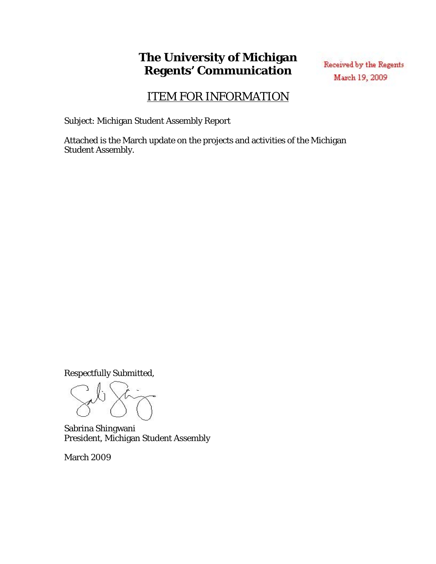## **The University of Michigan Regents' Communication**

Received by the Regents March 19, 2009

## ITEM FOR INFORMATION

Subject: Michigan Student Assembly Report

Attached is the March update on the projects and activities of the Michigan Student Assembly.

Respectfully Submitted,

Sabrina Shingwani President, Michigan Student Assembly

March 2009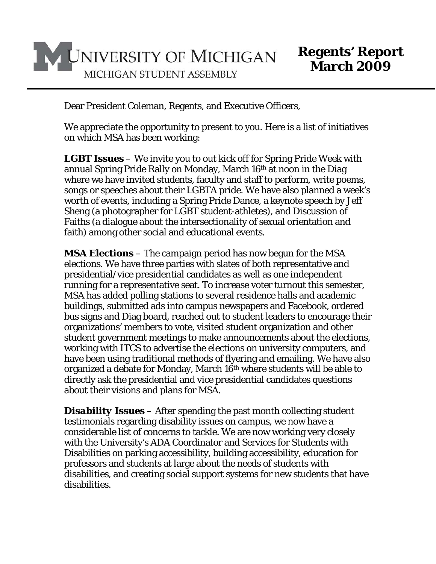

Dear President Coleman, Regents, and Executive Officers,

We appreciate the opportunity to present to you. Here is a list of initiatives on which MSA has been working:

*LGBT Issues* – We invite you to out kick off for Spring Pride Week with annual Spring Pride Rally on Monday, March 16<sup>th</sup> at noon in the Diag where we have invited students, faculty and staff to perform, write poems, songs or speeches about their LGBTA pride. We have also planned a week's worth of events, including a Spring Pride Dance, a keynote speech by Jeff Sheng (a photographer for LGBT student-athletes), and Discussion of Faiths (a dialogue about the intersectionality of sexual orientation and faith) among other social and educational events.

*MSA Elections* – The campaign period has now begun for the MSA elections. We have three parties with slates of both representative and presidential/vice presidential candidates as well as one independent running for a representative seat. To increase voter turnout this semester, MSA has added polling stations to several residence halls and academic buildings, submitted ads into campus newspapers and Facebook, ordered bus signs and Diag board, reached out to student leaders to encourage their organizations' members to vote, visited student organization and other student government meetings to make announcements about the elections, working with ITCS to advertise the elections on university computers, and have been using traditional methods of flyering and emailing. We have also organized a debate for Monday, March 16th where students will be able to directly ask the presidential and vice presidential candidates questions about their visions and plans for MSA.

*Disability Issues* – After spending the past month collecting student testimonials regarding disability issues on campus, we now have a considerable list of concerns to tackle. We are now working very closely with the University's ADA Coordinator and Services for Students with Disabilities on parking accessibility, building accessibility, education for professors and students at large about the needs of students with disabilities, and creating social support systems for new students that have disabilities.